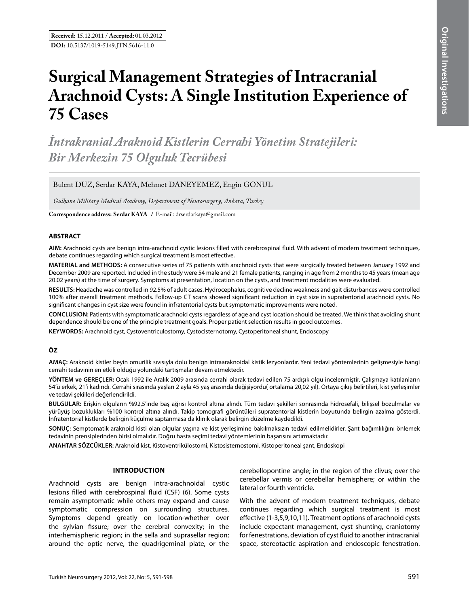# **Surgical Management Strategies of Intracranial Arachnoid Cysts: A Single Institution Experience of 75 Cases**

*İntrakranial Araknoid Kistlerin Cerrahi Yönetim Stratejileri: Bir Merkezin 75 Olguluk Tecrübesi* 

Bulent DUZ, Serdar KAYA, Mehmet DANEYEMEZ, Engin GONUL

*Gulhane Military Medical Academy, Department of Neurosurgery, Ankara, Turkey*

**Correspondence address: Serdar Kaya /** E-mail: drserdarkaya@gmail.com

#### **ABSTRACT**

**AIm:** Arachnoid cysts are benign intra-arachnoid cystic lesions filled with cerebrospinal fluid. With advent of modern treatment techniques, debate continues regarding which surgical treatment is most effective.

**MaterIal and Methods:** A consecutive series of 75 patients with arachnoid cysts that were surgically treated between January 1992 and December 2009 are reported. Included in the study were 54 male and 21 female patients, ranging in age from 2 months to 45 years (mean age 20.02 years) at the time of surgery. Symptoms at presentation, location on the cysts, and treatment modalities were evaluated.

**Results:** Headache was controlled in 92.5% of adult cases. Hydrocephalus, cognitive decline weakness and gait disturbances were controlled 100% after overall treatment methods. Follow-up CT scans showed significant reduction in cyst size in supratentorial arachnoid cysts. No significant changes in cyst size were found in infratentorial cysts but symptomatic improvements were noted.

**ConclusIon:** Patients with symptomatic arachnoid cysts regardless of age and cyst location should be treated. We think that avoiding shunt dependence should be one of the principle treatment goals. Proper patient selection results in good outcomes.

**Keywords:** Arachnoid cyst, Cystoventriculostomy, Cystocisternotomy, Cystoperitoneal shunt, Endoscopy

# **ÖZ**

**AMAÇ:** Araknoid kistler beyin omurilik sıvısıyla dolu benign intraaraknoidal kistik lezyonlardır. Yeni tedavi yöntemlerinin gelişmesiyle hangi cerrahi tedavinin en etkili olduğu yolundaki tartışmalar devam etmektedir.

**YÖNTEM ve GEREÇLER:** Ocak 1992 ile Aralık 2009 arasında cerrahi olarak tedavi edilen 75 ardışık olgu incelenmiştir. Çalışmaya katılanların 54'ü erkek, 21'i kadındı. Cerrahi sırasında yaşları 2 ayla 45 yaş arasında değişiyordu( ortalama 20,02 yıl). Ortaya çıkış belirtileri, kist yerleşimler ve tedavi şekilleri değerlendirildi.

**BULGULAR:** Erişkin olguların %92,5'inde baş ağrısı kontrol altına alındı. Tüm tedavi şekilleri sonrasında hidrosefali, bilişsel bozulmalar ve yürüyüş bozuklukları %100 kontrol altına alındı. Takip tomografi görüntüleri supratentorial kistlerin boyutunda belirgin azalma gösterdi. İnfratentorial kistlerde belirgin küçülme saptanmasa da klinik olarak belirgin düzelme kaydedildi.

**SONUÇ:** Semptomatik araknoid kisti olan olgular yaşına ve kist yerleşimine bakılmaksızın tedavi edilmelidirler. Şant bağımlılığını önlemek tedavinin prensiplerinden birisi olmalıdır. Doğru hasta seçimi tedavi yöntemlerinin başarısını artırmaktadır.

**ANAHTAR SÖZCÜKLER:** Araknoid kist, Kistoventrikülostomi, Kistosisternostomi, Kistoperitoneal şant, Endoskopi

## **Introduction**

Arachnoid cysts are benign intra-arachnoidal cystic lesions filled with cerebrospinal fluid (CSF) (6). Some cysts remain asymptomatic while others may expand and cause symptomatic compression on surrounding structures. Symptoms depend greatly on location-whether over the sylvian fissure; over the cerebral convexity; in the interhemispheric region; in the sella and suprasellar region; around the optic nerve, the quadrigeminal plate, or the

cerebellopontine angle; in the region of the clivus; over the cerebellar vermis or cerebellar hemisphere; or within the lateral or fourth ventricle.

With the advent of modern treatment techniques, debate continues regarding which surgical treatment is most effective (1-3,5,9,10,11). Treatment options of arachnoid cysts include expectant management, cyst shunting, craniotomy for fenestrations, deviation of cyst fluid to another intracranial space, stereotactic aspiration and endoscopic fenestration.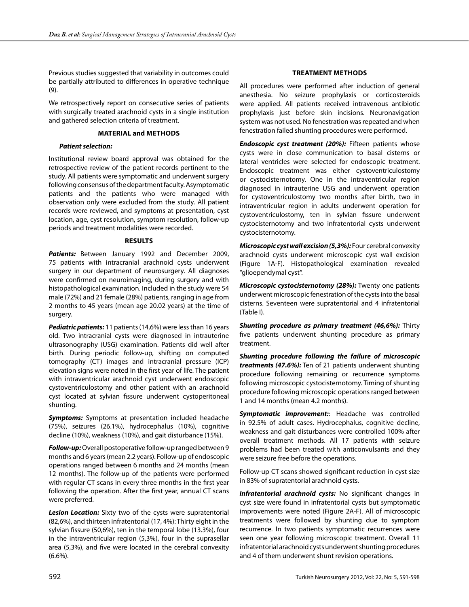Previous studies suggested that variability in outcomes could be partially attributed to differences in operative technique (9).

We retrospectively report on consecutive series of patients with surgically treated arachnoid cysts in a single institution and gathered selection criteria of treatment.

## **Material and methods**

# *Patient selection:*

Institutional review board approval was obtained for the retrospective review of the patient records pertinent to the study. All patients were symptomatic and underwent surgery following consensus of the department faculty. Asymptomatic patients and the patients who were managed with observation only were excluded from the study. All patient records were reviewed, and symptoms at presentation, cyst location, age, cyst resolution, symptom resolution, follow-up periods and treatment modalities were recorded.

## **Results**

*Patients:* Between January 1992 and December 2009, 75 patients with intracranial arachnoid cysts underwent surgery in our department of neurosurgery. All diagnoses were confirmed on neuroimaging, during surgery and with histopathological examination. Included in the study were 54 male (72%) and 21 female (28%) patients, ranging in age from 2 months to 45 years (mean age 20.02 years) at the time of surgery.

*Pediatric patients:* 11 patients (14,6%) were less than 16 years old. Two intracranial cysts were diagnosed in intrauterine ultrasonography (USG) examination. Patients did well after birth. During periodic follow-up, shifting on computed tomography (CT) images and intracranial pressure (ICP) elevation signs were noted in the first year of life. The patient with intraventricular arachnoid cyst underwent endoscopic cystoventriculostomy and other patient with an arachnoid cyst located at sylvian fissure underwent cystoperitoneal shunting.

*Symptoms:* Symptoms at presentation included headache (75%), seizures (26.1%), hydrocephalus (10%), cognitive decline (10%), weakness (10%), and gait disturbance (15%).

*Follow-up:* Overall postoperative follow-up ranged between 9 months and 6 years (mean 2.2 years). Follow-up of endoscopic operations ranged between 6 months and 24 months (mean 12 months). The follow-up of the patients were performed with regular CT scans in every three months in the first year following the operation. After the first year, annual CT scans were preferred.

*Lesion Location:* Sixty two of the cysts were supratentorial (82,6%), and thirteen infratentorial (17, 4%): Thirty eight in the sylvian fissure (50,6%), ten in the temporal lobe (13.3%), four in the intraventricular region (5,3%), four in the suprasellar area (5,3%), and five were located in the cerebral convexity (6.6%).

# **Treatment methods**

All procedures were performed after induction of general anesthesia. No seizure prophylaxis or corticosteroids were applied. All patients received intravenous antibiotic prophylaxis just before skin incisions. Neuronavigation system was not used. No fenestration was repeated and when fenestration failed shunting procedures were performed.

*Endoscopic cyst treatment (20%):* Fifteen patients whose cysts were in close communication to basal cisterns or lateral ventricles were selected for endoscopic treatment. Endoscopic treatment was either cystoventriculostomy or cystocisternotomy. One in the intraventricular region diagnosed in intrauterine USG and underwent operation for cystoventriculostomy two months after birth, two in intraventricular region in adults underwent operation for cystoventriculostomy, ten in sylvian fissure underwent cystocisternotomy and two infratentorial cysts underwent cystocisternotomy.

*Microscopic cyst wall excision (5,3%):* Four cerebral convexity arachnoid cysts underwent microscopic cyst wall excision (Figure 1A-F). Histopathological examination revealed "glioependymal cyst".

*Microscopic cystocisternotomy (28%):* Twenty one patients underwent microscopic fenestration of the cysts into the basal cisterns. Seventeen were supratentorial and 4 infratentorial (Table I).

*Shunting procedure as primary treatment (46,6%):* Thirty five patients underwent shunting procedure as primary treatment.

*Shunting procedure following the failure of microscopic treatments (47.6%):* Ten of 21 patients underwent shunting procedure following remaining or recurrence symptoms following microscopic cystocisternotomy. Timing of shunting procedure following microscopic operations ranged between 1 and 14 months (mean 4.2 months).

*Symptomatic improvement:*: Headache was controlled in 92.5% of adult cases. Hydrocephalus, cognitive decline, weakness and gait disturbances were controlled 100% after overall treatment methods. All 17 patients with seizure problems had been treated with anticonvulsants and they were seizure free before the operations.

Follow-up CT scans showed significant reduction in cyst size in 83% of supratentorial arachnoid cysts.

*Infratentorial arachnoid cysts:* No significant changes in cyst size were found in infratentorial cysts but symptomatic improvements were noted (Figure 2A-F). All of microscopic treatments were followed by shunting due to symptom recurrence. In two patients symptomatic recurrences were seen one year following microscopic treatment. Overall 11 infratentorial arachnoid cysts underwent shunting procedures and 4 of them underwent shunt revision operations.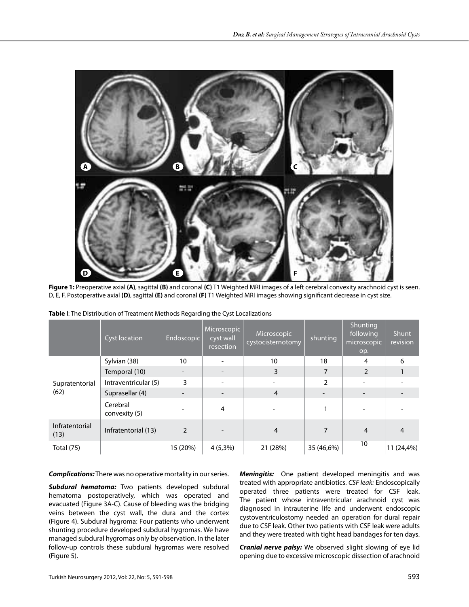

**Figure 1:** Preoperative axial **(A)**, sagittal **(B)** and coronal **(C)** T1 Weighted MRI images of a left cerebral convexity arachnoid cyst is seen. D, E, F, Postoperative axial **(D)**, sagittal **(E)** and coronal **(F)** T1 Weighted MRI images showing significant decrease in cyst size.

|                        | <b>Cyst location</b>      | Endoscopic               | Microscopic<br>cyst wall<br>resection | Microscopic<br>cystocisternotomy | shunting       | Shunting<br>following<br>microscopic<br>op. | Shunt<br>revision |
|------------------------|---------------------------|--------------------------|---------------------------------------|----------------------------------|----------------|---------------------------------------------|-------------------|
| Supratentorial<br>(62) | Sylvian (38)              | 10                       |                                       | 10 <sup>°</sup>                  | 18             | 4                                           | 6                 |
|                        | Temporal (10)             | $\overline{\phantom{a}}$ |                                       | 3                                | 7              | $\overline{2}$                              |                   |
|                        | Intraventricular (5)      | 3                        |                                       | ÷.                               | 2              |                                             |                   |
|                        | Suprasellar (4)           | $\overline{\phantom{a}}$ | $\overline{\phantom{a}}$              | $\overline{4}$                   | Ξ.             | $\overline{\phantom{a}}$                    |                   |
|                        | Cerebral<br>convexity (5) |                          | 4                                     |                                  |                |                                             |                   |
| Infratentorial<br>(13) | Infratentorial (13)       | $\overline{2}$           |                                       | 4                                | $\overline{7}$ | $\overline{4}$                              | 4                 |
| <b>Total (75)</b>      |                           | 15 (20%)                 | $4(5,3\%)$                            | 21 (28%)                         | 35 (46,6%)     | 10                                          | 11 (24,4%)        |

*Complications:* There was no operative mortality in our series.

*Subdural hematoma:* Two patients developed subdural hematoma postoperatively, which was operated and evacuated (Figure 3A-C). Cause of bleeding was the bridging veins between the cyst wall, the dura and the cortex (Figure 4). Subdural hygroma: Four patients who underwent shunting procedure developed subdural hygromas. We have managed subdural hygromas only by observation. In the later follow-up controls these subdural hygromas were resolved (Figure 5).

*Meningitis:* One patient developed meningitis and was treated with appropriate antibiotics. *CSF leak:* Endoscopically operated three patients were treated for CSF leak. The patient whose intraventricular arachnoid cyst was diagnosed in intrauterine life and underwent endoscopic cystoventriculostomy needed an operation for dural repair due to CSF leak. Other two patients with CSF leak were adults and they were treated with tight head bandages for ten days.

*Cranial nerve palsy:* We observed slight slowing of eye lid opening due to excessive microscopic dissection of arachnoid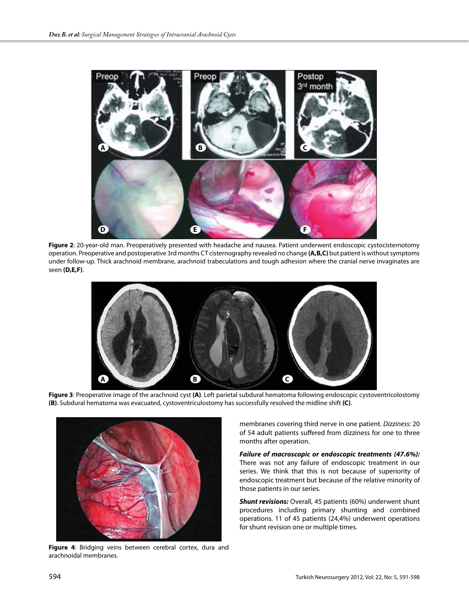

**Figure 2**: 20-year-old man. Preoperatively presented with headache and nausea. Patient underwent endoscopic cystocisternotomy operation. Preoperative and postoperative 3rd months CT cisternography revealed no change **(A,B,C)** but patient is without symptoms under follow-up. Thick arachnoid membrane, arachnoid trabeculations and tough adhesion where the cranial nerve invaginates are seen **(D,E,F)**.



**Figure 3**: Preoperative image of the arachnoid cyst **(A)**. Left parietal subdural hematoma following endoscopic cystoventricolostomy **(B)**. Subdural hematoma was evacuated, cystoventriculostomy has successfully resolved the midline shift **(C)**.



**Figure 4**: Bridging veins between cerebral cortex, dura and arachnoidal membranes.

membranes covering third nerve in one patient. *Dizziness:* 20 of 54 adult patients suffered from dizziness for one to three months after operation.

*Failure of macroscopic or endoscopic treatments (47.6%):* There was not any failure of endoscopic treatment in our series. We think that this is not because of superiority of endoscopic treatment but because of the relative minority of those patients in our series.

**Shunt revisions:** Overall, 45 patients (60%) underwent shunt procedures including primary shunting and combined operations. 11 of 45 patients (24,4%) underwent operations for shunt revision one or multiple times.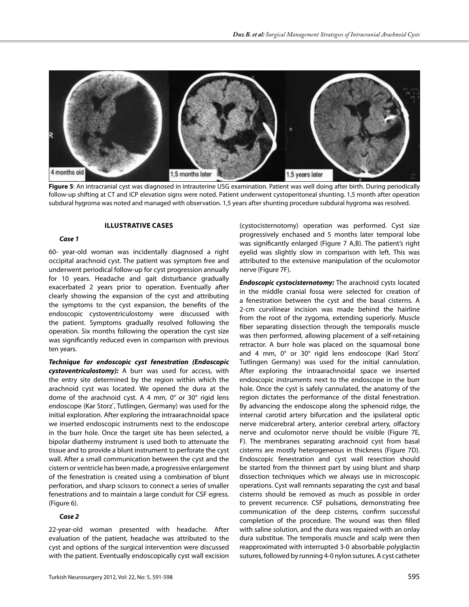

**Figure 5**: An intracranial cyst was diagnosed in intrauterine USG examination. Patient was well doing after birth. During periodically follow-up shifting at CT and ICP elevation signs were noted. Patient underwent cystoperitoneal shunting. 1,5 month after operation subdural hygroma was noted and managed with observation. 1,5 years after shunting procedure subdural hygroma was resolved.

# **Illustrative cases**

#### *Case 1*

60- year-old woman was incidentally diagnosed a right occipital arachnoid cyst. The patient was symptom free and underwent periodical follow-up for cyst progression annually for 10 years. Headache and gait disturbance gradually exacerbated 2 years prior to operation. Eventually after clearly showing the expansion of the cyst and attributing the symptoms to the cyst expansion, the benefits of the endoscopic cystoventriculostomy were discussed with the patient. Symptoms gradually resolved following the operation. Six months following the operation the cyst size was significantly reduced even in comparison with previous ten years.

*Technique for endoscopic cyst fenestration (Endoscopic cystoventriculostomy):* A burr was used for access, with the entry site determined by the region within which the arachnoid cyst was located. We opened the dura at the dome of the arachnoid cyst. A 4 mm, 0° or 30° rigid lens endoscope (Kar Storz<sup>®</sup>, Tutlingen, Germany) was used for the initial exploration. After exploring the intraarachnoidal space we inserted endoscopic instruments next to the endoscope in the burr hole. Once the target site has been selected, a bipolar diathermy instrument is used both to attenuate the tissue and to provide a blunt instrument to perforate the cyst wall. After a small communication between the cyst and the cistern or ventricle has been made, a progressive enlargement of the fenestration is created using a combination of blunt perforation, and sharp scissors to connect a series of smaller fenestrations and to maintain a large conduit for CSF egress. (Figure 6).

#### *Case 2*

22-year-old woman presented with headache. After evaluation of the patient, headache was attributed to the cyst and options of the surgical intervention were discussed with the patient. Eventually endoscopically cyst wall excision

Turkish Neurosurgery 2012, Vol: 22, No: 5, 591-598 595

(cystocisternotomy) operation was performed. Cyst size progressively enchased and 5 months later temporal lobe was significantly enlarged (Figure 7 A,B). The patient's right eyelid was slightly slow in comparison with left. This was attributed to the extensive manipulation of the oculomotor nerve (Figure 7f).

*Endoscopic cystocisternotomy:* The arachnoid cysts located in the middle cranial fossa were selected for creation of a fenestration between the cyst and the basal cisterns. A 2-cm curvilinear incision was made behind the hairline from the root of the zygoma, extending superiorly. Muscle fiber separating dissection through the temporalis muscle was then performed, allowing placement of a self-retaining retractor. A burr hole was placed on the squamosal bone and 4 mm, 0° or 30° rigid lens endoscope (Karl Storz<sup>®</sup> Tutlingen Germany) was used for the initial cannulation. After exploring the intraarachnoidal space we inserted endoscopic instruments next to the endoscope in the burr hole. Once the cyst is safely cannulated, the anatomy of the region dictates the performance of the distal fenestration. By advancing the endoscope along the sphenoid ridge, the internal carotid artery bifurcation and the ipsilateral optic nerve midcerebral artery, anterior cerebral artery, olfactory nerve and oculomotor nerve should be visible (Figure 7E, f). The membranes separating arachnoid cyst from basal cisterns are mostly heterogeneous in thickness (Figure 7D). Endoscopic fenestration and cyst wall resection should be started from the thinnest part by using blunt and sharp dissection techniques which we always use in microscopic operations. Cyst wall remnants separating the cyst and basal cisterns should be removed as much as possible in order to prevent recurrence. CSF pulsations, demonstrating free communication of the deep cisterns, confirm successful completion of the procedure. The wound was then filled with saline solution, and the dura was repaired with an onlay dura substitue. The temporalis muscle and scalp were then reapproximated with interrupted 3-0 absorbable polyglactin sutures, followed by running 4-0 nylon sutures. A cyst catheter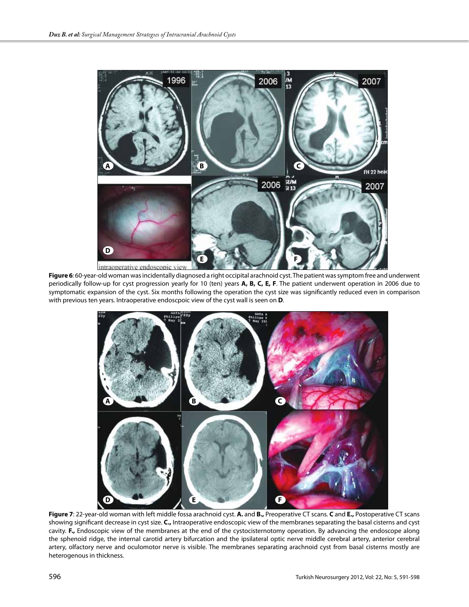

**Figure 6**: 60-year-old woman was incidentally diagnosed a right occipital arachnoid cyst. The patient was symptom free and underwent periodically follow-up for cyst progression yearly for 10 (ten) years **A, B, C, E, F**. The patient underwent operation in 2006 due to symptomatic expansion of the cyst. Six months following the operation the cyst size was significantly reduced even in comparison with previous ten years. Intraoperative endoscpoic view of the cyst wall is seen on **D**.



**Figure 7**: 22-year-old woman with left middle fossa arachnoid cyst. **A.** and **B.,** Preoperative CT scans. **C** and **E.,** Postoperative CT scans showing significant decrease in cyst size. **C.,** Intraoperative endoscopic view of the membranes separating the basal cisterns and cyst cavity. **F.,** Endoscopic view of the membranes at the end of the cystocisternotomy operation. By advancing the endoscope along the sphenoid ridge, the internal carotid artery bifurcation and the ipsilateral optic nerve middle cerebral artery, anterior cerebral artery, olfactory nerve and oculomotor nerve is visible. The membranes separating arachnoid cyst from basal cisterns mostly are heterogenous in thickness.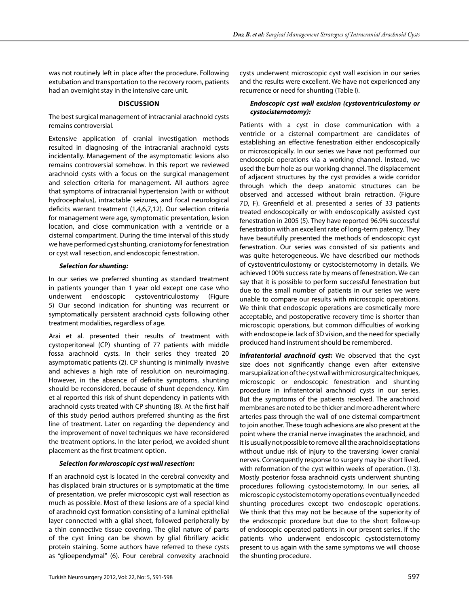was not routinely left in place after the procedure. Following extubation and transportation to the recovery room, patients had an overnight stay in the intensive care unit.

#### **Discussion**

The best surgical management of intracranial arachnoid cysts remains controversial.

Extensive application of cranial investigation methods resulted in diagnosing of the intracranial arachnoid cysts incidentally. Management of the asymptomatic lesions also remains controversial somehow. In this report we reviewed arachnoid cysts with a focus on the surgical management and selection criteria for management. All authors agree that symptoms of intracranial hypertension (with or without hydrocephalus), intractable seizures, and focal neurological deficits warrant treatment (1,4,6,7,12). Our selection criteria for management were age, symptomatic presentation, lesion location, and close communication with a ventricle or a cisternal compartment. During the time interval of this study we have performed cyst shunting, craniotomy for fenestration or cyst wall resection, and endoscopic fenestration.

#### *Selection for shunting:*

In our series we preferred shunting as standard treatment in patients younger than 1 year old except one case who underwent endoscopic cystoventriculostomy (Figure 5) Our second indication for shunting was recurrent or symptomatically persistent arachnoid cysts following other treatment modalities, regardless of age.

Arai et al. presented their results of treatment with cystoperitoneal (CP) shunting of 77 patients with middle fossa arachnoid cysts. In their series they treated 20 asymptomatic patients (2). CP shunting is minimally invasive and achieves a high rate of resolution on neuroimaging. However, in the absence of definite symptoms, shunting should be reconsidered, because of shunt dependency. Kim et al reported this risk of shunt dependency in patients with arachnoid cysts treated with CP shunting (8). At the first half of this study period authors preferred shunting as the first line of treatment. Later on regarding the dependency and the improvement of novel techniques we have reconsidered the treatment options. In the later period, we avoided shunt placement as the first treatment option.

## *Selection for microscopic cyst wall resection:*

If an arachnoid cyst is located in the cerebral convexity and has displaced brain structures or is symptomatic at the time of presentation, we prefer microscopic cyst wall resection as much as possible. Most of these lesions are of a special kind of arachnoid cyst formation consisting of a luminal epithelial layer connected with a glial sheet, followed peripherally by a thin connective tissue covering. The glial nature of parts of the cyst lining can be shown by glial fibrillary acidic protein staining. Some authors have referred to these cysts as "glioependymal" (6). Four cerebral convexity arachnoid

cysts underwent microscopic cyst wall excision in our series and the results were excellent. We have not experienced any recurrence or need for shunting (Table I).

## *Endoscopic cyst wall excision (cystoventriculostomy or cystocisternotomy):*

Patients with a cyst in close communication with a ventricle or a cisternal compartment are candidates of establishing an effective fenestration either endoscopically or microscopically. In our series we have not performed our endoscopic operations via a working channel. Instead, we used the burr hole as our working channel. The displacement of adjacent structures by the cyst provides a wide corridor through which the deep anatomic structures can be observed and accessed without brain retraction. (Figure 7D, F). Greenfield et al. presented a series of 33 patients treated endoscopically or with endoscopically assisted cyst fenestration in 2005 (5). They have reported 96.9% successful fenestration with an excellent rate of long-term patency. They have beautifully presented the methods of endoscopic cyst fenestration. Our series was consisted of six patients and was quite heterogeneous. We have described our methods of cystoventriculostomy or cystocisternotomy in details. We achieved 100% success rate by means of fenestration. We can say that it is possible to perform successful fenestration but due to the small number of patients in our series we were unable to compare our results with microscopic operations. We think that endoscopic operations are cosmetically more acceptable, and postoperative recovery time is shorter than microscopic operations, but common difficulties of working with endoscope ie. lack of 3D vision, and the need for specially produced hand instrument should be remembered.

*Infratentorial arachnoid cyst:* We observed that the cyst size does not significantly change even after extensive marsupialization of the cyst wall with microsurgical techniques, microscopic or endoscopic fenestration and shunting procedure in infratentorial arachnoid cysts in our series. But the symptoms of the patients resolved. The arachnoid membranes are noted to be thicker and more adherent where arteries pass through the wall of one cisternal compartment to join another. These tough adhesions are also present at the point where the cranial nerve invaginates the arachnoid, and it is usually not possible to remove all the arachnoid septations without undue risk of injury to the traversing lower cranial nerves. Consequently response to surgery may be short lived, with reformation of the cyst within weeks of operation. (13). Mostly posterior fossa arachnoid cysts underwent shunting procedures following cystocisternotomy. In our series, all microscopic cystocisternotomy operations eventually needed shunting procedures except two endoscopic operations. We think that this may not be because of the superiority of the endoscopic procedure but due to the short follow-up of endoscopic operated patients in our present series. If the patients who underwent endoscopic cystocisternotomy present to us again with the same symptoms we will choose the shunting procedure.